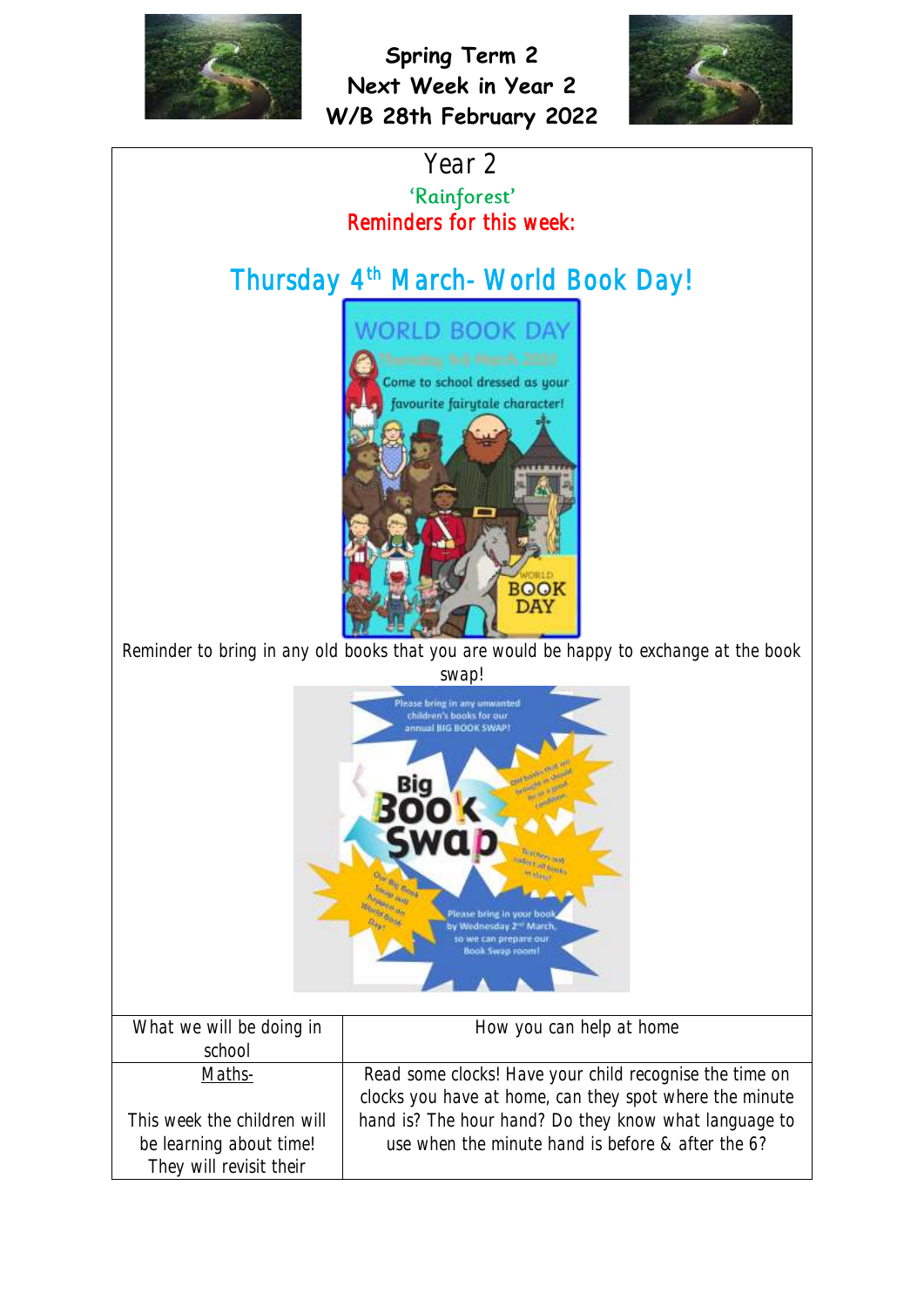

be learning about time! They will revisit their

**Spring Term 2 Next Week in Year 2 W/B 28th February 2022**





use when the minute hand is before & after the 6?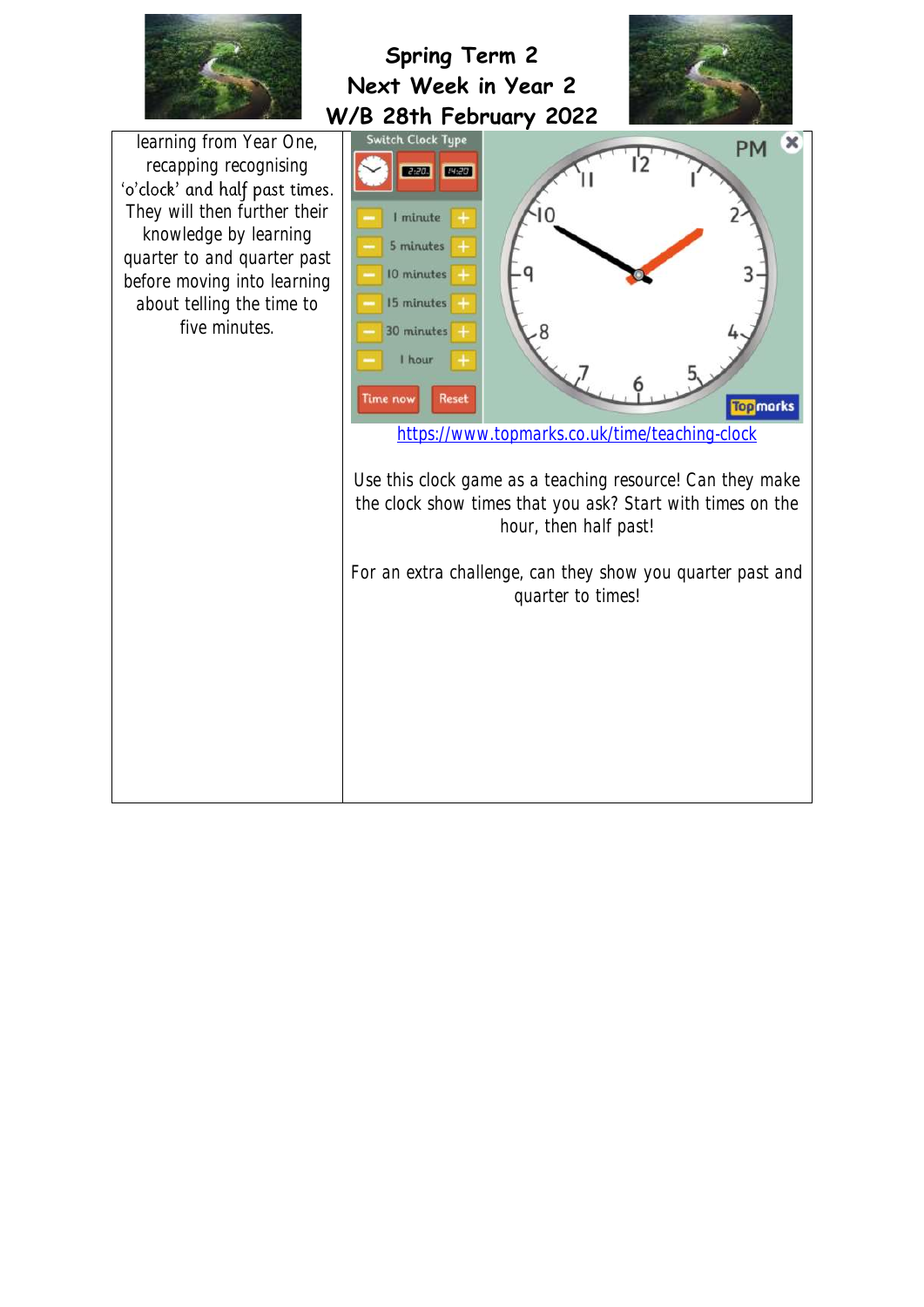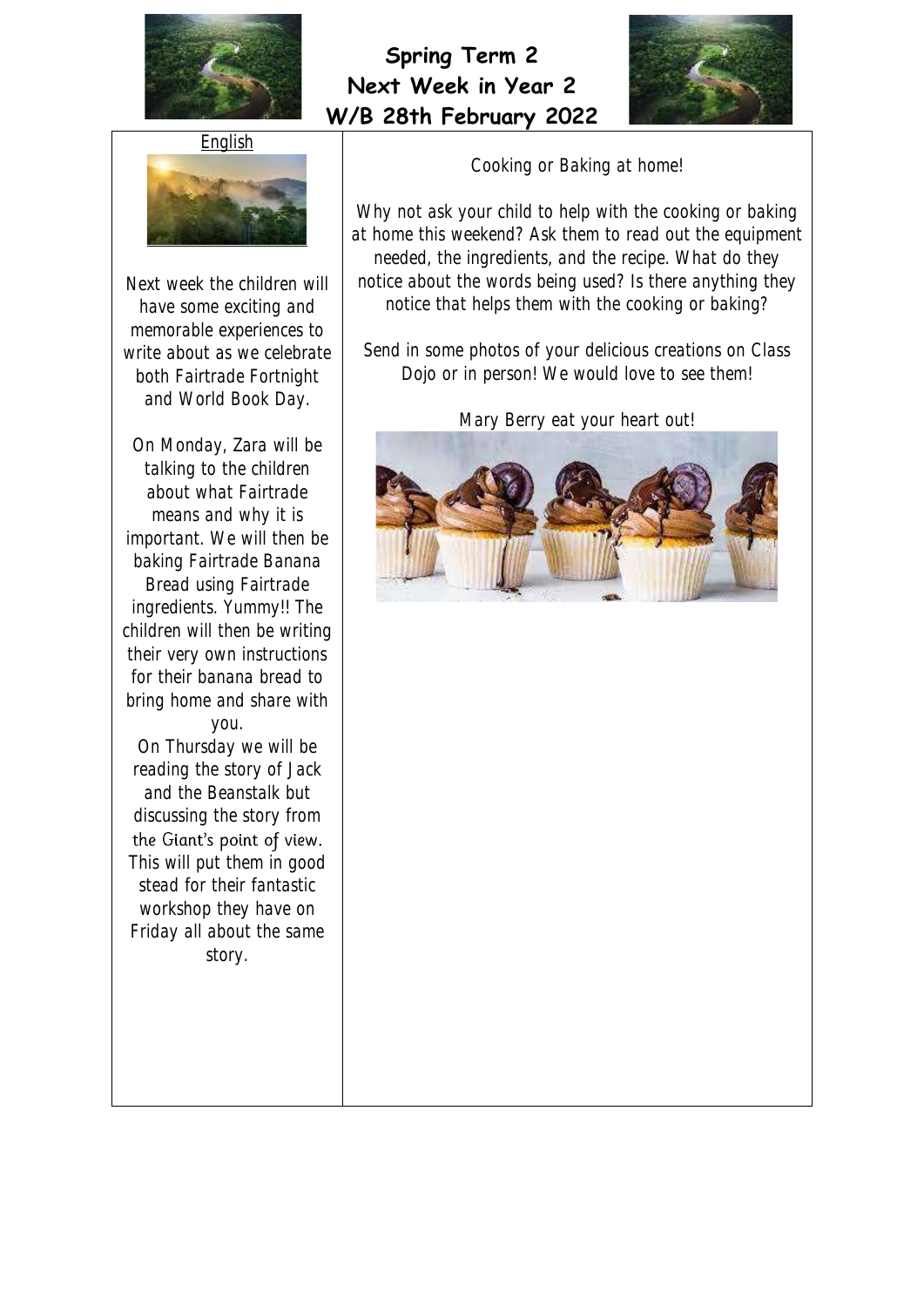



**English** 



Next week the children will have some exciting and memorable experiences to write about as we celebrate both Fairtrade Fortnight and World Book Day.

On Monday, Zara will be talking to the children about what Fairtrade means and why it is important. We will then be baking Fairtrade Banana Bread using Fairtrade ingredients. Yummy!! The children will then be writing their very own instructions for their banana bread to bring home and share with you. On Thursday we will be reading the story of Jack and the Beanstalk but discussing the story from the Giant's point of view. This will put them in good stead for their fantastic workshop they have on Friday all about the same story.

Cooking or Baking at home!

Why not ask your child to help with the cooking or baking at home this weekend? Ask them to read out the equipment needed, the ingredients, and the recipe. What do they notice about the words being used? Is there anything they notice that helps them with the cooking or baking?

Send in some photos of your delicious creations on Class Dojo or in person! We would love to see them!

Mary Berry eat your heart out!

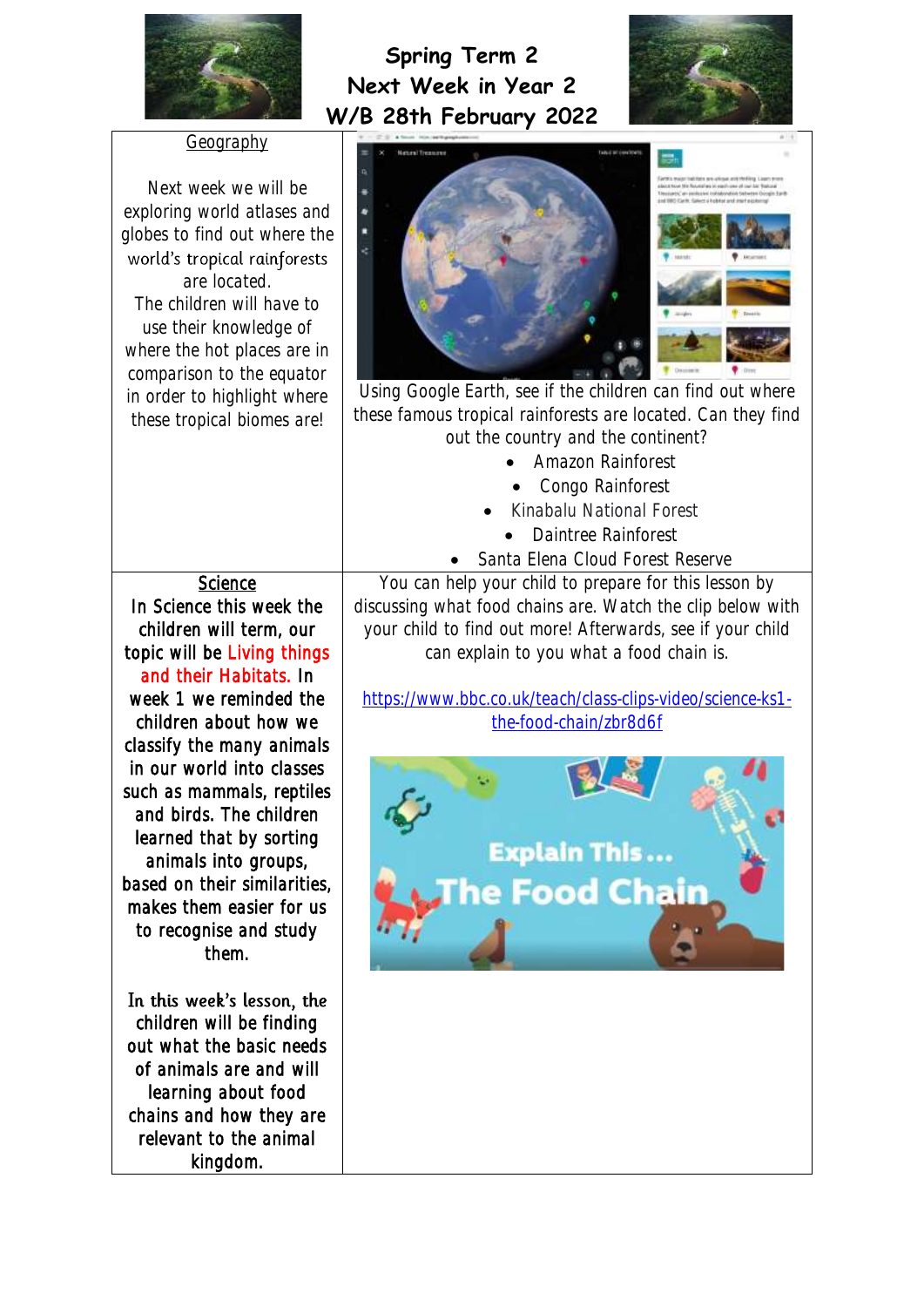



| <u>Geograpi</u>                                                                     |
|-------------------------------------------------------------------------------------|
| Next week we will be<br>exploring world atlases and<br>globes to find out where the |
| world's tropical rainforests                                                        |
| are located.                                                                        |
| The children will have to                                                           |
| use their knowledge of                                                              |
| where the hot places are in                                                         |
| comparison to the equator                                                           |
| in order to highlight where                                                         |
| these tropical biomes are!                                                          |
|                                                                                     |
|                                                                                     |

Science In Science this week the children will term, our topic will be Living things and their Habitats. In week 1 we reminded the children about how we classify the many animals in our world into classes such as mammals, reptiles and birds. The children learned that by sorting animals into groups, based on their similarities, makes them easier for us to recognise and study them.

In this week's lesson, the children will be finding out what the basic needs of animals are and will learning about food chains and how they are relevant to the animal kingdom.



Using Google Earth, see if the children can find out where these famous tropical rainforests are located. Can they find out the country and the continent?

- Amazon Rainforest
- Congo Rainforest
- Kinabalu National Forest
	- Daintree Rainforest
- Santa Elena Cloud Forest Reserve

You can help your child to prepare for this lesson by discussing what food chains are. Watch the clip below with your child to find out more! Afterwards, see if your child can explain to you what a food chain is.

[https://www.bbc.co.uk/teach/class-clips-video/science-ks1](https://www.bbc.co.uk/teach/class-clips-video/science-ks1-the-food-chain/zbr8d6f) [the-food-chain/zbr8d6f](https://www.bbc.co.uk/teach/class-clips-video/science-ks1-the-food-chain/zbr8d6f)

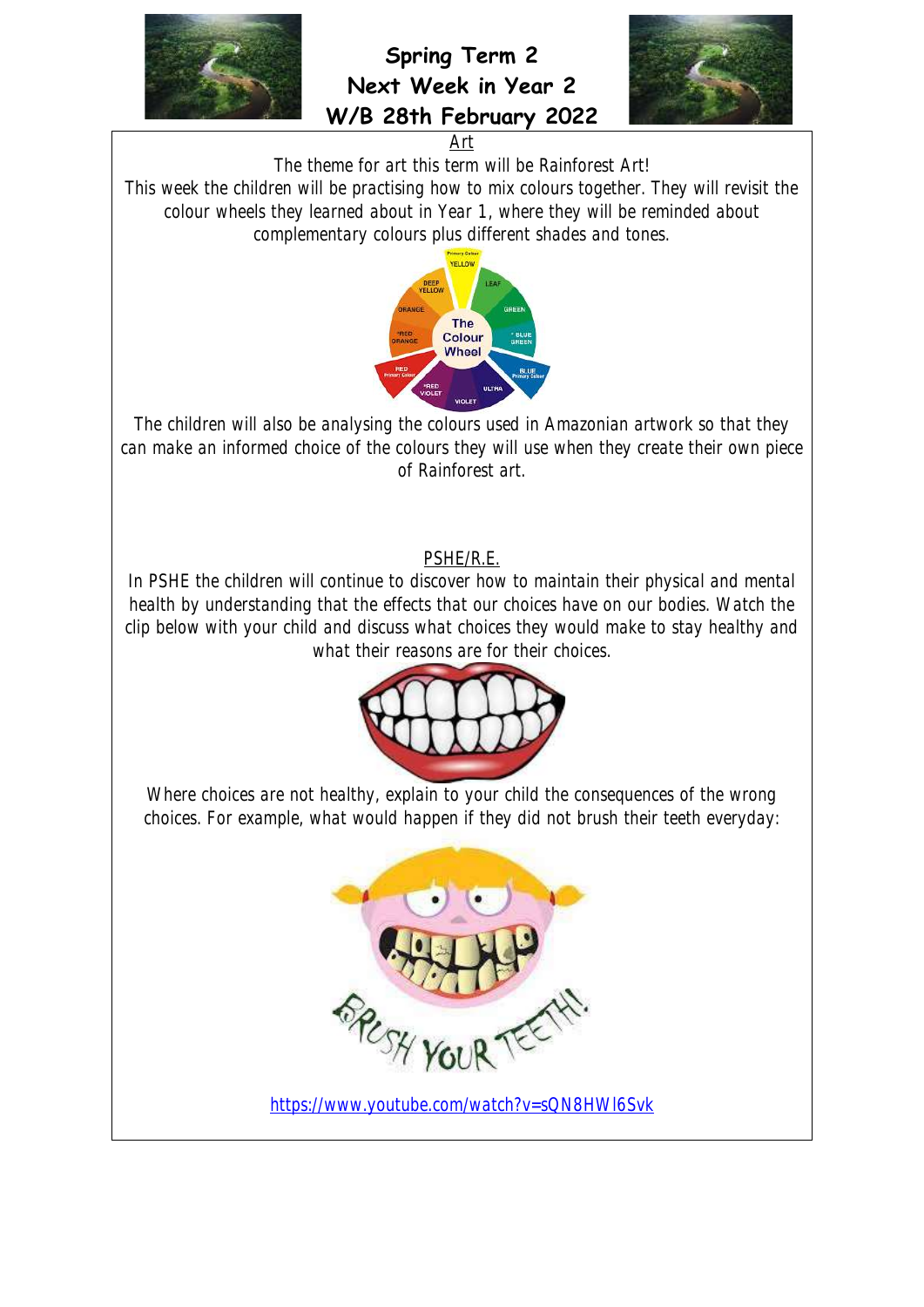



Art

The theme for art this term will be Rainforest Art!

This week the children will be practising how to mix colours together. They will revisit the colour wheels they learned about in Year 1, where they will be reminded about complementary colours plus different shades and tones.



The children will also be analysing the colours used in Amazonian artwork so that they can make an informed choice of the colours they will use when they create their own piece of Rainforest art.

#### PSHE/R.E.

In PSHE the children will continue to discover how to maintain their physical and mental health by understanding that the effects that our choices have on our bodies. Watch the clip below with your child and discuss what choices they would make to stay healthy and what their reasons are for their choices.



Where choices are not healthy, explain to your child the consequences of the wrong choices. For example, what would happen if they did not brush their teeth everyday:



<https://www.youtube.com/watch?v=sQN8HWl6Svk>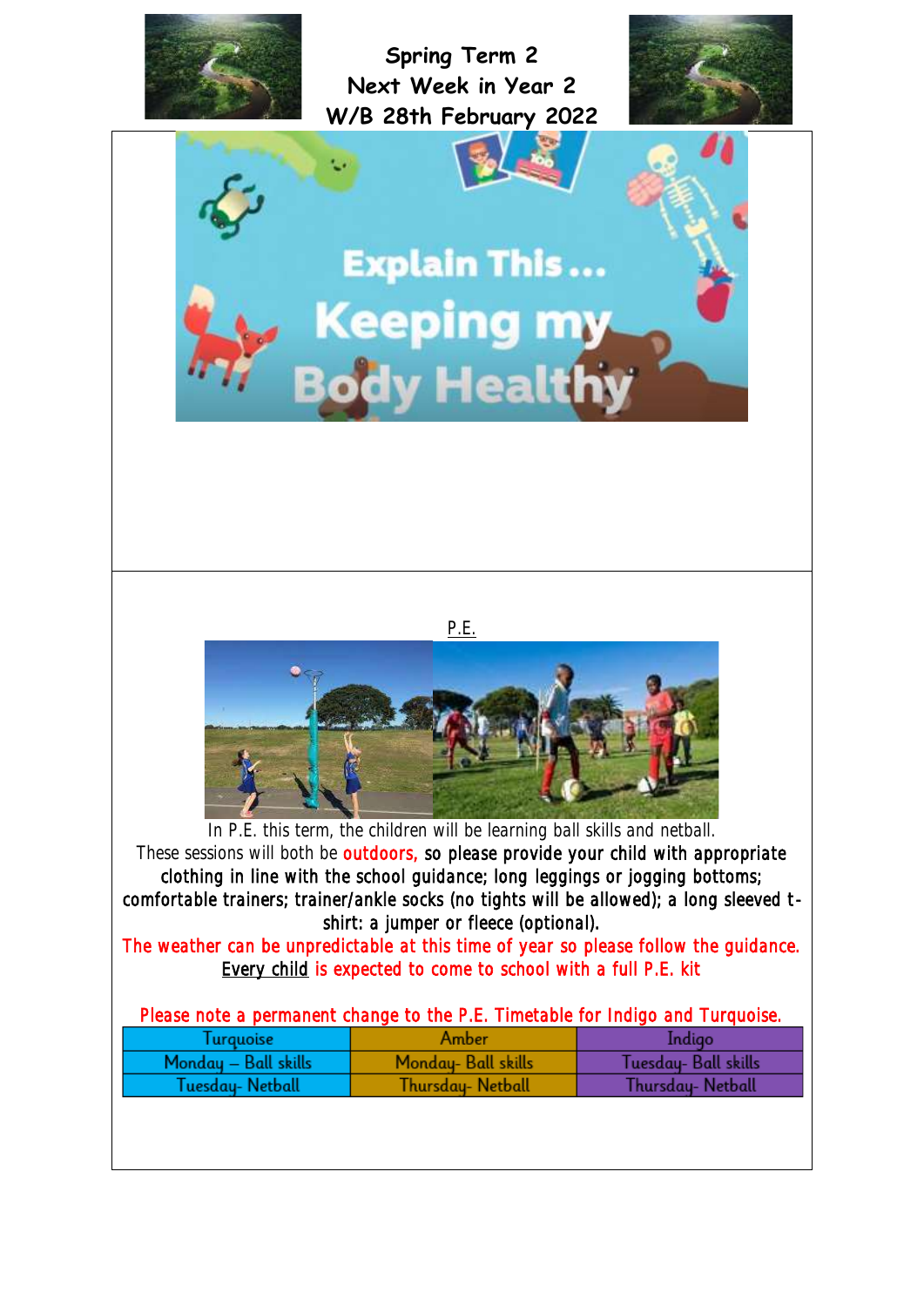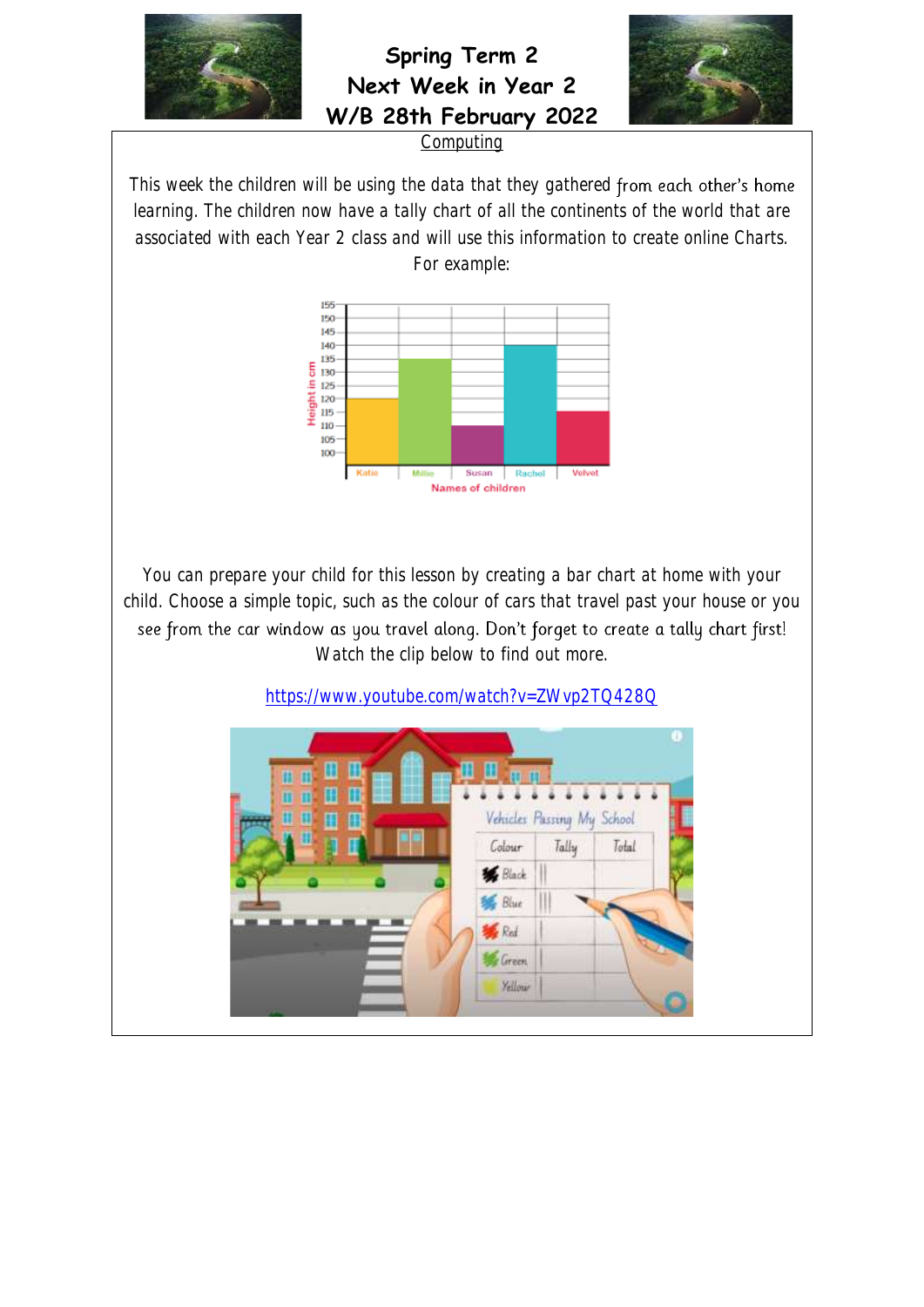

**Spring Term 2 Next Week in Year 2 W/B 28th February 2022**



**Computing** 

This week the children will be using the data that they gathered from each other's home learning. The children now have a tally chart of all the continents of the world that are associated with each Year 2 class and will use this information to create online Charts. For example:



You can prepare your child for this lesson by creating a bar chart at home with your child. Choose a simple topic, such as the colour of cars that travel past your house or you see from the car window as you travel along. Don't forget to create a tally chart first! Watch the clip below to find out more.

<https://www.youtube.com/watch?v=ZWvp2TQ428Q>

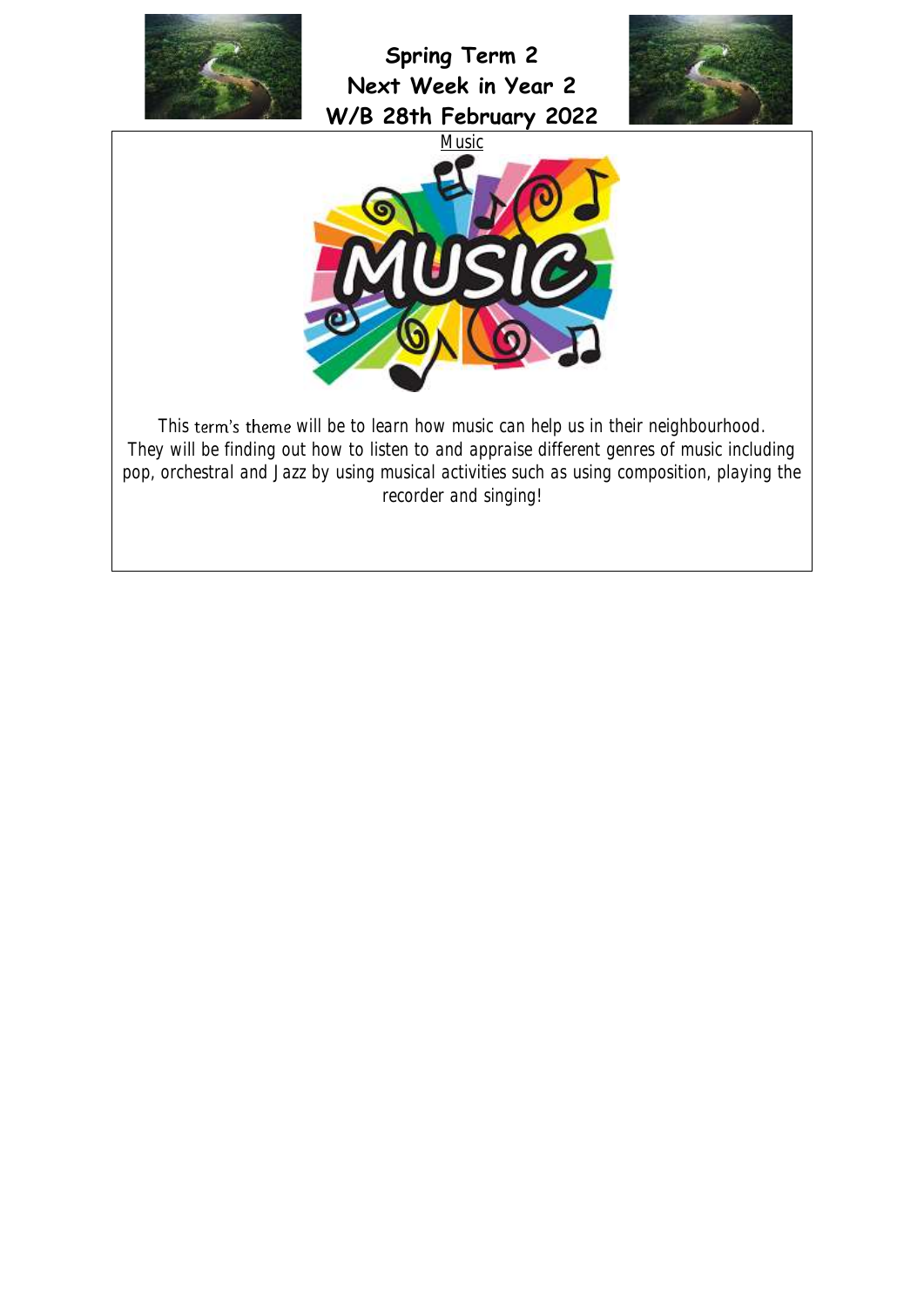





This term's theme will be to learn how music can help us in their neighbourhood. They will be finding out how to listen to and appraise different genres of music including pop, orchestral and Jazz by using musical activities such as using composition, playing the recorder and singing!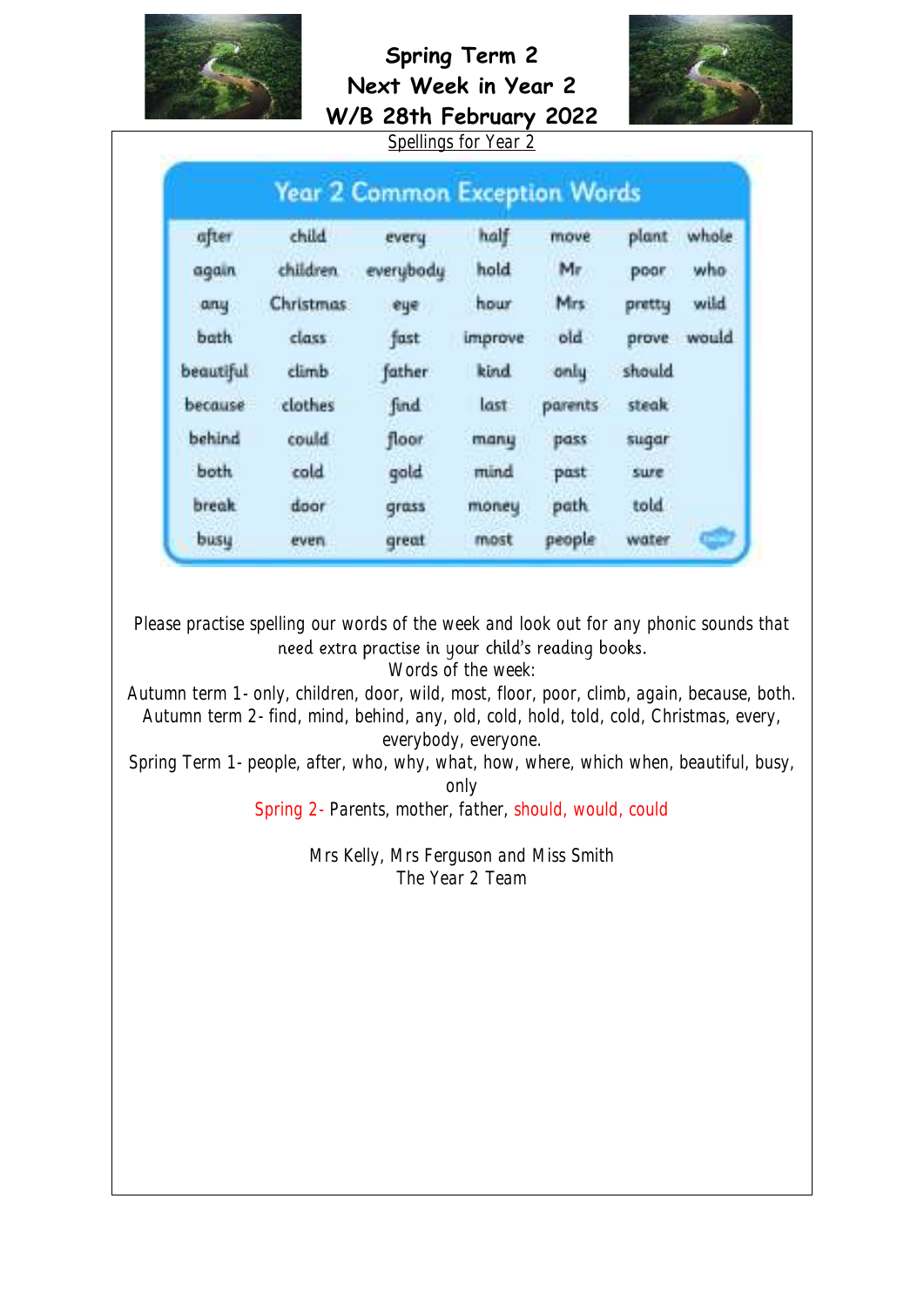

# **Spring Term 2 Next Week in Year 2**



|                                      |                    |           | Spellings for Year 2 |          |              |       |  |
|--------------------------------------|--------------------|-----------|----------------------|----------|--------------|-------|--|
| <b>Year 2 Common Exception Words</b> |                    |           |                      |          |              |       |  |
| after                                | child              | every     | half                 | move     | plant        | whole |  |
| again                                | children.          | everybody | hold                 | Mr       | poor         | who   |  |
| any                                  | Christmas:         | eye       | hour                 | Mrs      | pretty       | wild  |  |
| bath                                 | class <sup>1</sup> | fast      | improve              | old      | prove        | would |  |
| beautiful                            | climb              | father.   | kind                 | only     | should       |       |  |
| because                              | clothes            | find      | last                 | parents. | <b>steak</b> |       |  |
| behind                               | could              | floor     | many                 | pass     | sugar        |       |  |
| both                                 | cold               | gold      | mind                 | past     | sure         |       |  |
| <b>break</b>                         | door               | grass     | money                | path.    | told         |       |  |
| busu                                 | even.              | great     | most                 | people   | water        |       |  |

Please practise spelling our words of the week and look out for any phonic sounds that<br>need extra practise in your child's reading books.

Words of the week:

Autumn term 1- only, children, door, wild, most, floor, poor, climb, again, because, both. Autumn term 2- find, mind, behind, any, old, cold, hold, told, cold, Christmas, every, everybody, everyone.

Spring Term 1- people, after, who, why, what, how, where, which when, beautiful, busy, only

Spring 2- Parents, mother, father, should, would, could

Mrs Kelly, Mrs Ferguson and Miss Smith The Year 2 Team